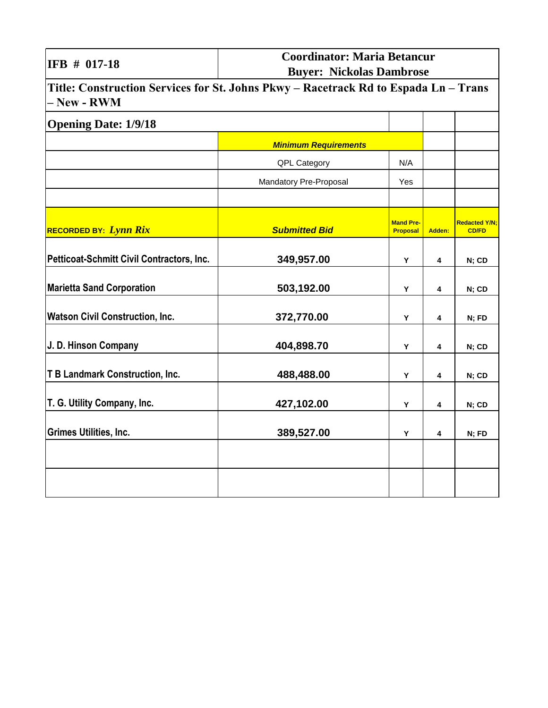| IFB # 017-18                                                                                       | <b>Coordinator: Maria Betancur</b><br><b>Buyer: Nickolas Dambrose</b> |                                     |        |                                      |
|----------------------------------------------------------------------------------------------------|-----------------------------------------------------------------------|-------------------------------------|--------|--------------------------------------|
| Title: Construction Services for St. Johns Pkwy - Racetrack Rd to Espada Ln - Trans<br>- New - RWM |                                                                       |                                     |        |                                      |
| <b>Opening Date: 1/9/18</b>                                                                        |                                                                       |                                     |        |                                      |
|                                                                                                    | <b>Minimum Requirements</b>                                           |                                     |        |                                      |
|                                                                                                    | QPL Category                                                          | N/A                                 |        |                                      |
|                                                                                                    | Mandatory Pre-Proposal                                                | Yes                                 |        |                                      |
| <b>RECORDED BY:</b> Lynn Rix                                                                       | <b>Submitted Bid</b>                                                  | <b>Mand Pre-</b><br><b>Proposal</b> | Adden: | <b>Redacted Y/N:</b><br><b>CD/FD</b> |
| Petticoat-Schmitt Civil Contractors, Inc.                                                          | 349,957.00                                                            | Y                                   | 4      | N; CD                                |
| <b>Marietta Sand Corporation</b>                                                                   | 503,192.00                                                            | Y                                   | 4      | N; CD                                |
| <b>Watson Civil Construction, Inc.</b>                                                             | 372,770.00                                                            | Υ                                   | 4      | N; FD                                |
| J. D. Hinson Company                                                                               | 404,898.70                                                            | Υ                                   | 4      | N; CD                                |
| <b>T B Landmark Construction, Inc.</b>                                                             | 488,488.00                                                            | Υ                                   | 4      | N; CD                                |
| T. G. Utility Company, Inc.                                                                        | 427,102.00                                                            | Y                                   | 4      | N; CD                                |
| <b>Grimes Utilities, Inc.</b>                                                                      | 389,527.00                                                            | Y                                   | 4      | N; FD                                |
|                                                                                                    |                                                                       |                                     |        |                                      |
|                                                                                                    |                                                                       |                                     |        |                                      |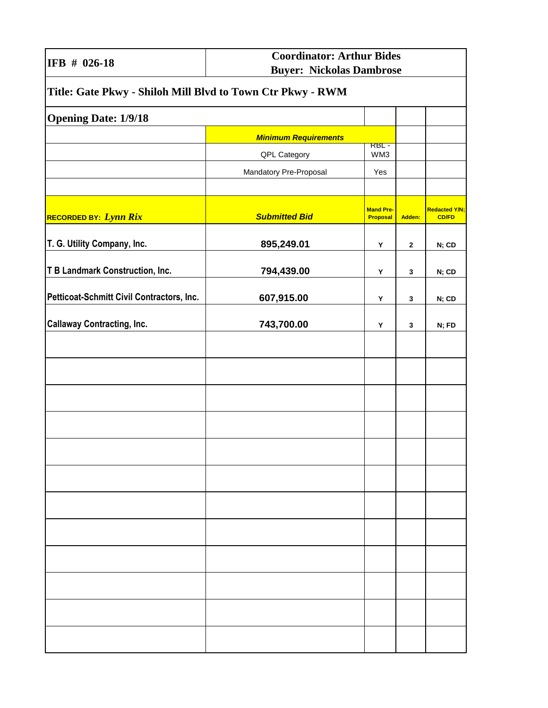|  | IFB # 026-18 |
|--|--------------|
|  |              |

| Title: Gate Pkwy - Shiloh Mill Blvd to Town Ctr Pkwy - RWM |                             |                                     |              |                                      |
|------------------------------------------------------------|-----------------------------|-------------------------------------|--------------|--------------------------------------|
| <b>Opening Date: 1/9/18</b>                                |                             |                                     |              |                                      |
|                                                            | <b>Minimum Requirements</b> |                                     |              |                                      |
|                                                            | QPL Category                | <b>RBL-</b><br>WM3                  |              |                                      |
|                                                            | Mandatory Pre-Proposal      | Yes                                 |              |                                      |
|                                                            |                             |                                     |              |                                      |
| RECORDED BY: Lynn Rix                                      | <b>Submitted Bid</b>        | <b>Mand Pre-</b><br><b>Proposal</b> | Adden:       | <b>Redacted Y/N;</b><br><b>CD/FD</b> |
| T. G. Utility Company, Inc.                                | 895,249.01                  | Y                                   | $\mathbf{2}$ | N; CD                                |
| T B Landmark Construction, Inc.                            | 794,439.00                  | Υ                                   | 3            | N; CD                                |
| Petticoat-Schmitt Civil Contractors, Inc.                  | 607,915.00                  | Υ                                   | 3            | N; CD                                |
| <b>Callaway Contracting, Inc.</b>                          | 743,700.00                  | Υ                                   | 3            | N; FD                                |
|                                                            |                             |                                     |              |                                      |
|                                                            |                             |                                     |              |                                      |
|                                                            |                             |                                     |              |                                      |
|                                                            |                             |                                     |              |                                      |
|                                                            |                             |                                     |              |                                      |
|                                                            |                             |                                     |              |                                      |
|                                                            |                             |                                     |              |                                      |
|                                                            |                             |                                     |              |                                      |
|                                                            |                             |                                     |              |                                      |
|                                                            |                             |                                     |              |                                      |
|                                                            |                             |                                     |              |                                      |
|                                                            |                             |                                     |              |                                      |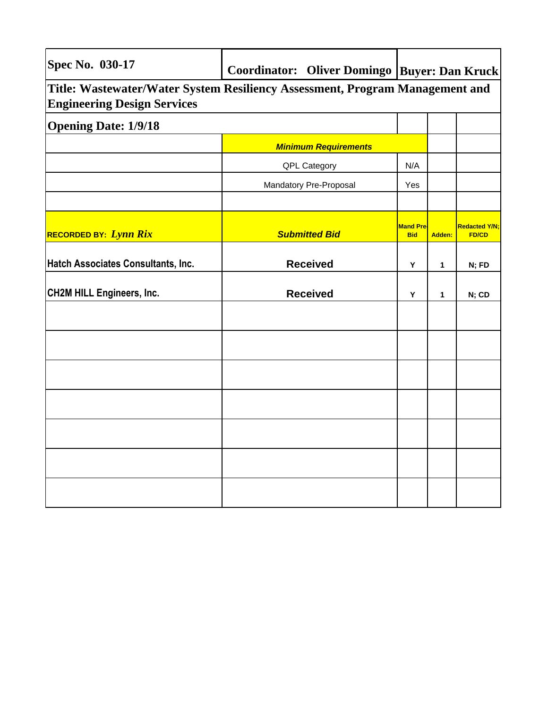| <b>Spec No. 030-17</b>                                                                                             | Coordinator: Oliver Domingo   Buyer: Dan Kruck |                                |        |                                      |
|--------------------------------------------------------------------------------------------------------------------|------------------------------------------------|--------------------------------|--------|--------------------------------------|
| Title: Wastewater/Water System Resiliency Assessment, Program Management and<br><b>Engineering Design Services</b> |                                                |                                |        |                                      |
| <b>Opening Date: 1/9/18</b>                                                                                        |                                                |                                |        |                                      |
|                                                                                                                    | <b>Minimum Requirements</b>                    |                                |        |                                      |
|                                                                                                                    | <b>QPL Category</b>                            | N/A                            |        |                                      |
|                                                                                                                    | Mandatory Pre-Proposal                         | Yes                            |        |                                      |
|                                                                                                                    |                                                |                                |        |                                      |
| <b>RECORDED BY: Lynn Rix</b>                                                                                       | <b>Submitted Bid</b>                           | <b>Mand Pre-</b><br><b>Bid</b> | Adden: | <b>Redacted Y/N;</b><br><b>FD/CD</b> |
| Hatch Associates Consultants, Inc.                                                                                 | <b>Received</b>                                | Y                              | 1      | N; FD                                |
| <b>CH2M HILL Engineers, Inc.</b>                                                                                   | <b>Received</b>                                | Υ                              | 1      | N; CD                                |
|                                                                                                                    |                                                |                                |        |                                      |
|                                                                                                                    |                                                |                                |        |                                      |
|                                                                                                                    |                                                |                                |        |                                      |
|                                                                                                                    |                                                |                                |        |                                      |
|                                                                                                                    |                                                |                                |        |                                      |
|                                                                                                                    |                                                |                                |        |                                      |
|                                                                                                                    |                                                |                                |        |                                      |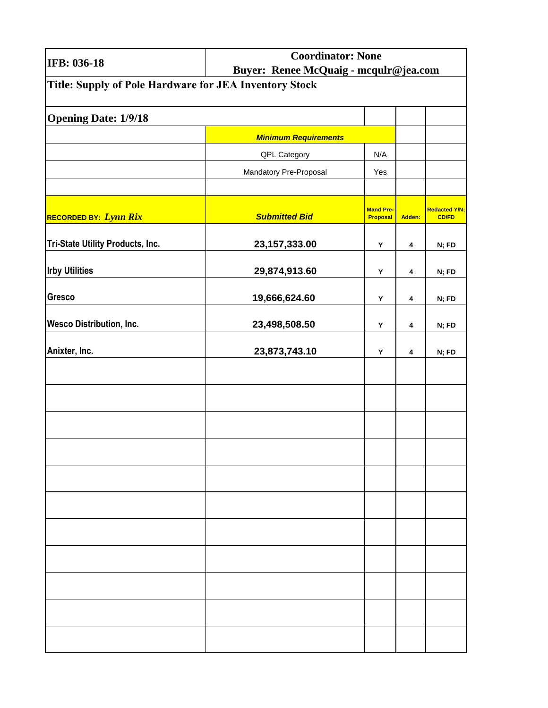| IFB: 036-18                                            | <b>Coordinator: None</b><br>Buyer: Renee McQuaig - mcqulr@jea.com |                                     |        |                                      |
|--------------------------------------------------------|-------------------------------------------------------------------|-------------------------------------|--------|--------------------------------------|
| Title: Supply of Pole Hardware for JEA Inventory Stock |                                                                   |                                     |        |                                      |
| <b>Opening Date: 1/9/18</b>                            |                                                                   |                                     |        |                                      |
|                                                        | <b>Minimum Requirements</b>                                       |                                     |        |                                      |
|                                                        | QPL Category                                                      | N/A                                 |        |                                      |
|                                                        | Mandatory Pre-Proposal                                            | Yes                                 |        |                                      |
|                                                        |                                                                   |                                     |        |                                      |
| RECORDED BY: Lynn Rix                                  | <b>Submitted Bid</b>                                              | <b>Mand Pre-</b><br><b>Proposal</b> | Adden: | <b>Redacted Y/N;</b><br><b>CD/FD</b> |
| Tri-State Utility Products, Inc.                       | 23, 157, 333.00                                                   | Υ                                   | 4      | N; FD                                |
| <b>Irby Utilities</b>                                  | 29,874,913.60                                                     | Υ                                   | 4      | N; FD                                |
| <b>Gresco</b>                                          | 19,666,624.60                                                     | Υ                                   | 4      | N; FD                                |
| <b>Wesco Distribution, Inc.</b>                        | 23,498,508.50                                                     | Υ                                   | 4      | N; FD                                |
| Anixter, Inc.                                          | 23,873,743.10                                                     | Υ                                   | 4      | N; FD                                |
|                                                        |                                                                   |                                     |        |                                      |
|                                                        |                                                                   |                                     |        |                                      |
|                                                        |                                                                   |                                     |        |                                      |
|                                                        |                                                                   |                                     |        |                                      |
|                                                        |                                                                   |                                     |        |                                      |
|                                                        |                                                                   |                                     |        |                                      |
|                                                        |                                                                   |                                     |        |                                      |
|                                                        |                                                                   |                                     |        |                                      |
|                                                        |                                                                   |                                     |        |                                      |
|                                                        |                                                                   |                                     |        |                                      |
|                                                        |                                                                   |                                     |        |                                      |